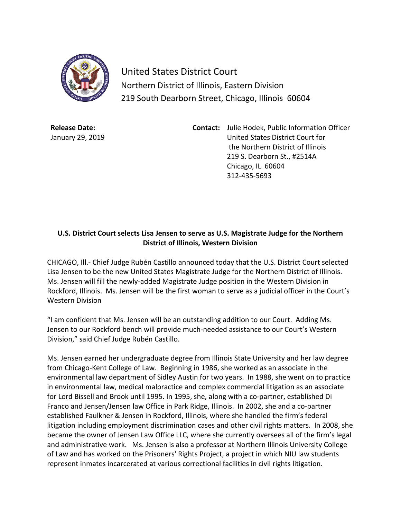

United States District Court Northern District of Illinois, Eastern Division 219 South Dearborn Street, Chicago, Illinois 60604

**Release Date:** January 29, 2019 **Contact:** Julie Hodek, Public Information Officer United States District Court for the Northern District of Illinois 219 S. Dearborn St., #2514A Chicago, IL 60604 312-435-5693

## **U.S. District Court selects Lisa Jensen to serve as U.S. Magistrate Judge for the Northern District of Illinois, Western Division**

CHICAGO, Ill.- Chief Judge Rubén Castillo announced today that the U.S. District Court selected Lisa Jensen to be the new United States Magistrate Judge for the Northern District of Illinois. Ms. Jensen will fill the newly-added Magistrate Judge position in the Western Division in Rockford, Illinois. Ms. Jensen will be the first woman to serve as a judicial officer in the Court's Western Division

"I am confident that Ms. Jensen will be an outstanding addition to our Court. Adding Ms. Jensen to our Rockford bench will provide much-needed assistance to our Court's Western Division," said Chief Judge Rubén Castillo.

Ms. Jensen earned her undergraduate degree from Illinois State University and her law degree from Chicago-Kent College of Law. Beginning in 1986, she worked as an associate in the environmental law department of Sidley Austin for two years. In 1988, she went on to practice in environmental law, medical malpractice and complex commercial litigation as an associate for Lord Bissell and Brook until 1995. In 1995, she, along with a co-partner, established Di Franco and Jensen/Jensen law Office in Park Ridge, Illinois. In 2002, she and a co-partner established Faulkner & Jensen in Rockford, Illinois, where she handled the firm's federal litigation including employment discrimination cases and other civil rights matters. In 2008, she became the owner of Jensen Law Office LLC, where she currently oversees all of the firm's legal and administrative work. Ms. Jensen is also a professor at Northern Illinois University College of Law and has worked on the Prisoners' Rights Project, a project in which NIU law students represent inmates incarcerated at various correctional facilities in civil rights litigation.